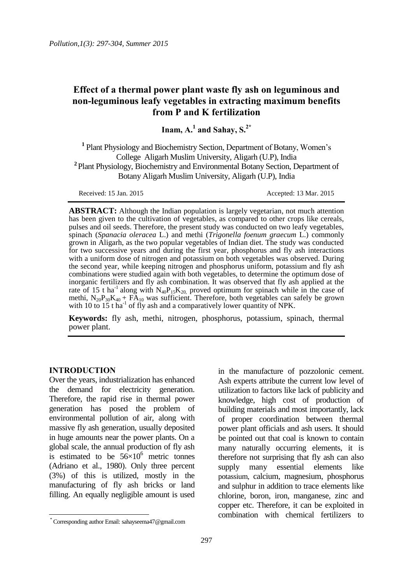## **Effect of a thermal power plant waste fly ash on leguminous and non-leguminous leafy vegetables in extracting maximum benefits from P and K fertilization**

**Inam, A.<sup>1</sup> and Sahay, S.2\***

**1** Plant Physiology and Biochemistry Section, Department of Botany, Women's College Aligarh Muslim University, Aligarh (U.P), India **<sup>2</sup>**Plant Physiology, Biochemistry and Environmental Botany Section, Department of Botany Aligarh Muslim University, Aligarh (U.P), India

Received: 15 Jan. 2015 Accepted: 13 Mar. 2015

**ABSTRACT:** Although the Indian population is largely vegetarian, not much attention has been given to the cultivation of vegetables, as compared to other crops like cereals, pulses and oil seeds. Therefore, the present study was conducted on two leafy vegetables, spinach (*Spanacia oleracea* L.) and methi (*Trigonella foenum graecum* L.) commonly grown in Aligarh, as the two popular vegetables of Indian diet. The study was conducted for two successive years and during the first year, phosphorus and fly ash interactions with a uniform dose of nitrogen and potassium on both vegetables was observed. During the second year, while keeping nitrogen and phosphorus uniform, potassium and fly ash combinations were studied again with both vegetables, to determine the optimum dose of inorganic fertilizers and fly ash combination. It was observed that fly ash applied at the rate of 15 t ha<sup>-1</sup> along with  $N_{40}P_{15}K_{20}$ , proved optimum for spinach while in the case of methi,  $N_{20}P_{30}K_{40}$  +  $FA_{10}$  was sufficient. Therefore, both vegetables can safely be grown with 10 to  $15$  t ha<sup>-1</sup> of fly ash and a comparatively lower quantity of NPK.

**Keywords:** fly ash, methi, nitrogen, phosphorus, potassium, spinach, thermal power plant.

#### **INTRODUCTION**

 $\overline{a}$ 

Over the years, industrialization has enhanced the demand for electricity generation. Therefore, the rapid rise in thermal power generation has posed the problem of environmental pollution of air, along with massive fly ash generation, usually deposited in huge amounts near the power plants. On a global scale, the annual production of fly ash is estimated to be  $56\times10^6$  metric tonnes (Adriano et al., 1980). Only three percent (3%) of this is utilized, mostly in the manufacturing of fly ash bricks or land filling. An equally negligible amount is used

in the manufacture of pozzolonic cement. Ash experts attribute the current low level of utilization to factors like lack of publicity and knowledge, high cost of production of building materials and most importantly, lack of proper coordination between thermal power plant officials and ash users. It should be pointed out that coal is known to contain many naturally occurring elements, it is therefore not surprising that fly ash can also supply many essential elements like potassium, calcium, magnesium, phosphorus and sulphur in addition to trace elements like chlorine, boron, iron, manganese, zinc and copper etc. Therefore, it can be exploited in combination with chemical fertilizers to

<sup>\*</sup> Corresponding author Email: sahayseema47@gmail.com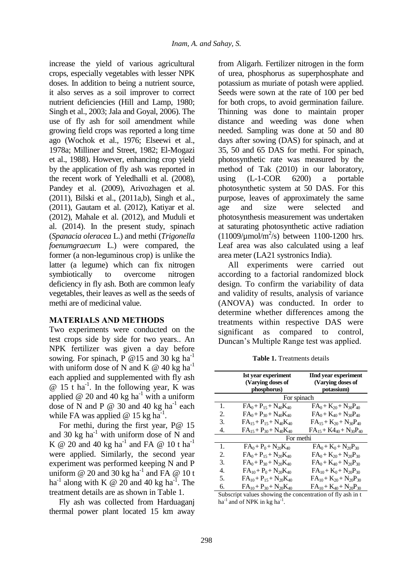increase the yield of various agricultural crops, especially vegetables with lesser NPK doses. In addition to being a nutrient source, it also serves as a soil improver to correct nutrient deficiencies (Hill and Lamp, 1980; Singh et al., 2003; Jala and Goyal, 2006). The use of fly ash for soil amendment while growing field crops was reported a long time ago (Wochok et al., 1976; Elseewi et al., 1978a; Milliner and Street, 1982; El-Mogazi et al., 1988). However, enhancing crop yield by the application of fly ash was reported in the recent work of Yeledhalli et al. (2008), Pandey et al. (2009), Arivozhagen et al. (2011), Bilski et al., (2011a,b), Singh et al., (2011), Gautam et al. (2012), Katiyar et al. (2012), Mahale et al. (2012), and Muduli et al. (2014). In the present study, spinach (*Spanacia oleracea* L.) and methi (*Trigonella foenumgraecum* L.) were compared, the former (a non-leguminous crop) is unlike the latter (a legume) which can fix nitrogen symbiotically to overcome nitrogen deficiency in fly ash. Both are common leafy vegetables, their leaves as well as the seeds of methi are of medicinal value.

#### **MATERIALS AND METHODS**

Two experiments were conducted on the test crops side by side for two years.. An NPK fertilizer was given a day before sowing. For spinach, P @15 and 30 kg ha<sup>-1</sup> with uniform dose of N and K  $\omega$  40 kg ha<sup>-1</sup> each applied and supplemented with fly ash  $@ 15$  t ha<sup>-1</sup>. In the following year, K was applied  $@$  20 and 40 kg ha<sup>-1</sup> with a uniform dose of N and P  $\omega$  30 and 40 kg ha<sup>-1</sup> each while FA was applied  $\omega$  15 kg ha<sup>-1</sup>.

For methi, during the first year, P@ 15 and 30 kg  $ha^{-1}$  with uniform dose of N and K @ 20 and 40 kg ha<sup>-1</sup> and FA @ 10 t ha<sup>-1</sup> were applied. Similarly, the second year experiment was performed keeping N and P uniform  $@$  20 and 30 kg ha<sup>-1</sup> and FA  $@$  10 t ha<sup>-1</sup> along with K  $\omega$  20 and 40 kg ha<sup>-1</sup>. The treatment details are as shown in Table 1.

Fly ash was collected from Harduaganj thermal power plant located 15 km away from Aligarh. Fertilizer nitrogen in the form of urea, phosphorus as superphosphate and potassium as muriate of potash were applied. Seeds were sown at the rate of 100 per bed for both crops, to avoid germination failure. Thinning was done to maintain proper distance and weeding was done when needed. Sampling was done at 50 and 80 days after sowing (DAS) for spinach, and at 35, 50 and 65 DAS for methi. For spinach, photosynthetic rate was measured by the method of Tak (2010) in our laboratory, using (L-1-COR 6200) a portable photosynthetic system at 50 DAS. For this purpose, leaves of approximately the same age and size were selected and photosynthesis measurement was undertaken at saturating photosynthetic active radiation  $(11009/\mu \text{mol/m}^2/\text{s})$  between 1100-1200 hrs. Leaf area was also calculated using a leaf area meter (LA21 systronics India).

All experiments were carried out according to a factorial randomized block design. To confirm the variability of data and validity of results, analysis of variance (ANOVA) was conducted. In order to determine whether differences among the treatments within respective DAS were significant as compared to control, Duncan's Multiple Range test was applied.

|    | <b>Ist year experiment</b><br>(Varying doses of<br>phosphorus) | <b>IInd year experiment</b><br>(Varying doses of<br>potassium) |
|----|----------------------------------------------------------------|----------------------------------------------------------------|
|    | For spinach                                                    |                                                                |
| 1. | $FA_0 + P_{15} + N_{40}K_{40}$                                 | $FA_0 + K_{20} + N_{30}P_{40}$                                 |
| 2. | $FA_0 + P_{30} + N_{40}K_{40}$                                 | $FA_0 + K_{40} + N_{30}P_{40}$                                 |
| 3. | $FA_{15} + P_{15} + N_{40}K_{40}$                              | $FA_{15} + K_{20} + N_{30}P_{40}$                              |
| 4. | $FA_{15} + P_{30} + N_{40}K_{40}$                              | $FA_{15} + K4_{40} + N_{30}P_{40}$                             |
|    | For methi                                                      |                                                                |
| 1. | $FA_0 + P_0 + N_{20}K_{40}$                                    | $FA_0 + K_0 + N_{20}P_{30}$                                    |
| 2. | $FA_0 + P_{15} + N_{20}K_{40}$                                 | $FA_0 + K_{20} + N_{20}P_{30}$                                 |
| 3. | $FA_0 + P_{30} + N_{20}K_{40}$                                 | $FA_0 + K_{40} + N_{20}P_{30}$                                 |
| 4. | $FA_{10} + P_0 + N_{20}K_{40}$                                 | $FA_{10} + K_0 + N_{20}P_{30}$                                 |
| 5. | $FA_{10} + P_{15} + N_{20}K_{40}$                              | $FA_{10} + K_{20} + N_{20}P_{30}$                              |
| 6. | $FA_{10} + P_{30} + N_{20}K_{40}$                              | $FA_{10} + K_{40} + N_{20}P_{30}$                              |

**Table 1.** Treatments details

Subscript values showing the concentration of fly ash in t ha<sup>-1</sup> and of NPK in kg ha<sup>-1</sup>.

 $\equiv$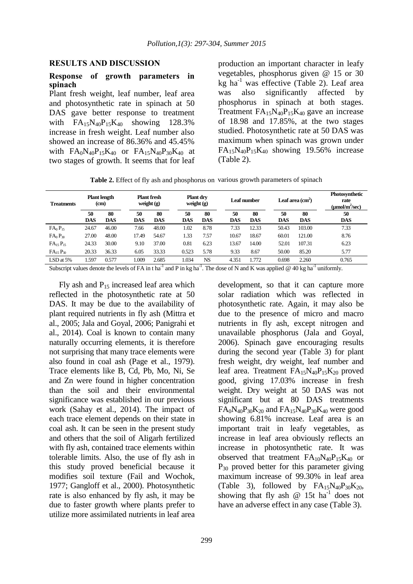#### **RESULTS AND DISCUSSION**

#### **Response of growth parameters in spinach**

Plant fresh weight, leaf number, leaf area and photosynthetic rate in spinach at 50 DAS gave better response to treatment with  $FA_{15}N_{40}P_{15}K_{40}$  showing 128.3% increase in fresh weight. Leaf number also showed an increase of 86.36% and 45.45% with  $FA_0N_{40}P_{15}K_{40}$  or  $FA_{15}N_{40}P_{30}K_{40}$  at two stages of growth. It seems that for leaf production an important character in leafy vegetables, phosphorus given @ 15 or 30 kg ha<sup>-1</sup> was effective (Table 2). Leaf area was also significantly affected by phosphorus in spinach at both stages. Treatment  $FA_{15}N_{40}P_{15}K_{40}$  gave an increase of 18.98 and 17.85%, at the two stages studied. Photosynthetic rate at 50 DAS was maximum when spinach was grown under  $FA_{15}N_{40}P_{15}K_{40}$  showing 19.56% increase (Table 2).

**Table 2.** Effect of fly ash and phosphorus on various growth parameters of spinach

| <b>Treatments</b>               |                  | <b>Plant length</b><br>(c <sub>m</sub> ) | weight $(g)$     | <b>Plant fresh</b> | <b>Plant dry</b><br>weight $(g)$ |                  |                  | Leaf number      |                  | Leaf area $\text{cm}^2$ ) | <b>Photosynthetic</b><br>rate<br>$\mu$ mol/m <sup>2</sup> /sec) |
|---------------------------------|------------------|------------------------------------------|------------------|--------------------|----------------------------------|------------------|------------------|------------------|------------------|---------------------------|-----------------------------------------------------------------|
|                                 | 50<br><b>DAS</b> | 80<br><b>DAS</b>                         | 50<br><b>DAS</b> | 80<br><b>DAS</b>   | 50<br><b>DAS</b>                 | 80<br><b>DAS</b> | 50<br><b>DAS</b> | 80<br><b>DAS</b> | 50<br><b>DAS</b> | 80<br><b>DAS</b>          | 50<br><b>DAS</b>                                                |
| $FA_0P_{15}$                    | 24.67            | 46.00                                    | 7.66             | 48.00              | 1.02                             | 8.78             | 7.33             | 12.33            | 50.43            | 103.00                    | 7.33                                                            |
| FA <sub>0</sub> P <sub>30</sub> | 27.00            | 48.00                                    | 17.49            | 54.67              | 1.33                             | 7.57             | 10.67            | 18.67            | 60.01            | 121.00                    | 8.76                                                            |
| $FA_{15}P_{15}$                 | 24.33            | 30.00                                    | 9.10             | 37.00              | 0.81                             | 6.23             | 13.67            | 14.00            | 52.01            | 107.31                    | 6.23                                                            |
| $FA_{15}P_{30}$                 | 20.33            | 36.33                                    | 6.05             | 33.33              | 0.523                            | 5.78             | 9.33             | 8.67             | 50.00            | 85.20                     | 5.77                                                            |
| $LSD$ at $5%$                   | 1.597            | 0.577                                    | .009             | 2.685              | 1.034                            | NS.              | 4.351            | 1.772            | 0.698            | 2.260                     | 0.765                                                           |

Subscript values denote the levels of FA in t ha<sup>-1</sup> and P in kg ha<sup>-1</sup>. The dose of N and K was applied @ 40 kg ha<sup>-1</sup> uniformly.

Fly ash and  $P_{15}$  increased leaf area which reflected in the photosynthetic rate at 50 DAS. It may be due to the availability of plant required nutrients in fly ash (Mittra et al., 2005; Jala and Goyal, 2006; Panigrahi et al., 2014). Coal is known to contain many naturally occurring elements, it is therefore not surprising that many trace elements were also found in coal ash (Page et al., 1979). Trace elements like B, Cd, Pb, Mo, Ni, Se and Zn were found in higher concentration than the soil and their environmental significance was established in our previous work (Sahay et al., 2014). The impact of each trace element depends on their state in coal ash. It can be seen in the present study and others that the soil of Aligarh fertilized with fly ash, contained trace elements within tolerable limits. Also, the use of fly ash in this study proved beneficial because it modifies soil texture (Fail and Wochok, 1977; Gangloff et al., 2000). Photosynthetic rate is also enhanced by fly ash, it may be due to faster growth where plants prefer to utilize more assimilated nutrients in leaf area

development, so that it can capture more solar radiation which was reflected in photosynthetic rate. Again, it may also be due to the presence of micro and macro nutrients in fly ash, except nitrogen and unavailable phosphorus (Jala and Goyal, 2006). Spinach gave encouraging results during the second year (Table 3) for plant fresh weight, dry weight, leaf number and leaf area. Treatment  $FA_{15}N_{40}P_{15}K_{20}$  proved good, giving 17.03% increase in fresh weight. Dry weight at 50 DAS was not significant but at 80 DAS treatments  $FA_0N_{40}P_{30}K_{20}$  and  $FA_{15}N_{40}P_{30}K_{40}$  were good showing 6.81% increase. Leaf area is an important trait in leafy vegetables, as increase in leaf area obviously reflects an increase in photosynthetic rate. It was observed that treatment  $FA_{10}N_{40}P_{15}K_{40}$  or  $P_{30}$  proved better for this parameter giving maximum increase of 99.30% in leaf area (Table 3), followed by  $FA_{15}N_{40}P_{30}K_{20}$ , showing that fly ash  $\omega$  15t ha<sup>-1</sup> does not have an adverse effect in any case (Table 3).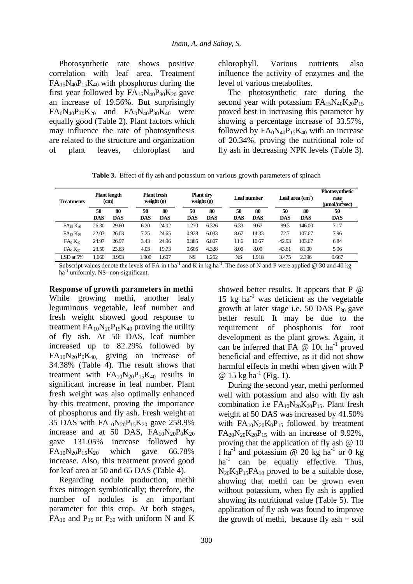Photosynthetic rate shows positive correlation with leaf area. Treatment  $FA_{15}N_{40}P_{15}K_{40}$  with phosphorus during the first year followed by  $FA_{15}N_{40}P_{30}K_{20}$  gave an increase of 19.56%. But surprisingly  $FA_0N_{40}P_{30}K_{20}$  and  $FA_0N_{40}P_{30}K_{40}$  were equally good (Table 2). Plant factors which may influence the rate of photosynthesis are related to the structure and organization of plant leaves, chloroplast and

chlorophyll. Various nutrients also influence the activity of enzymes and the level of various metabolites.

The photosynthetic rate during the second year with potassium  $FA_{15}N_{40}K_{20}P_{15}$ proved best in increasing this parameter by showing a percentage increase of 33.57%, followed by  $FA_0N_{40}P_{15}K_{40}$  with an increase of 20.34%, proving the nutritional role of fly ash in decreasing NPK levels (Table 3).

|  | Table 3. Effect of fly ash and potassium on various growth parameters of spinach |  |  |  |  |  |  |
|--|----------------------------------------------------------------------------------|--|--|--|--|--|--|
|--|----------------------------------------------------------------------------------|--|--|--|--|--|--|

| <b>Treatments</b> |            | <b>Plant length</b><br>(cm) | <b>Plant fresh</b><br>weight $(g)$ |            | <b>Plant drv</b><br>weight $(g)$ |            |            | Leaf number |            | Leaf area (cm <sup>2</sup> ) | <b>Photosynthetic</b><br>rate<br>$(\mu \text{mol/m}^2/\text{sec})$ |
|-------------------|------------|-----------------------------|------------------------------------|------------|----------------------------------|------------|------------|-------------|------------|------------------------------|--------------------------------------------------------------------|
|                   | 50         | 80                          | 50                                 | 80         | 50                               | 80         | 50         | 80          | 50         | 80                           | 50                                                                 |
|                   | <b>DAS</b> | <b>DAS</b>                  | <b>DAS</b>                         | <b>DAS</b> | <b>DAS</b>                       | <b>DAS</b> | <b>DAS</b> | <b>DAS</b>  | <b>DAS</b> | <b>DAS</b>                   | <b>DAS</b>                                                         |
| $FA_{15}K_{40}$   | 26.30      | 29.60                       | 6.20                               | 24.02      | 1.270                            | 6.326      | 6.33       | 9.67        | 99.3       | 146.00                       | 7.17                                                               |
| $FA_{15}K_{20}$   | 22.03      | 26.03                       | 7.25                               | 24.65      | 0.928                            | 6.033      | 8.67       | 14.33       | 72.7       | 107.67                       | 7.96                                                               |
| $FA_0K_{40}$      | 24.97      | 26.97                       | 3.43                               | 24.96      | 0.385                            | 6.807      | 11.6       | 10.67       | 42.93      | 103.67                       | 6.84                                                               |
| $FA_0K_{20}$      | 23.50      | 23.63                       | 4.03                               | 19.73      | 0.605                            | 4.328      | 8.00       | 8.00        | 43.61      | 81.00                        | 5.96                                                               |
| LSD at 5%         | 1.660      | 3.993                       | 1.900                              | .607       | <b>NS</b>                        | 1.262      | NS         | 1.918       | 3.475      | 2.396                        | 0.667                                                              |

Subscript values denote the levels of FA in t ha<sup>-1</sup> and K in kg ha<sup>-1</sup>. The dose of N and P were applied @ 30 and 40 kg ha<sup>-1</sup> uniformly. NS- non-significant.

**Response of growth parameters in methi** While growing methi, another leafy leguminous vegetable, leaf number and fresh weight showed good response to treatment  $FA_{10}N_{20}P_{15}K_{40}$  proving the utility of fly ash. At 50 DAS, leaf number increased up to 82.29% followed by  $FA_{10}N_{20}P_0K_{40}$  giving an increase of 34.38% (Table 4). The result shows that treatment with  $FA_{10}N_{20}P_{15}K_{40}$  results in significant increase in leaf number. Plant fresh weight was also optimally enhanced by this treatment, proving the importance of phosphorus and fly ash. Fresh weight at 35 DAS with  $FA_{10}N_{20}P_{15}K_{20}$  gave 258.9% increase and at 50 DAS,  $FA_{10}N_{20}P_0K_{20}$ gave 131.05% increase followed by  $FA_{10}N_{20}P_{15}K_{20}$  which gave 66.78% increase. Also, this treatment proved good for leaf area at 50 and 65 DAS (Table 4).

Regarding nodule production, methi fixes nitrogen symbiotically; therefore, the number of nodules is an important parameter for this crop. At both stages,  $FA_{10}$  and  $P_{15}$  or  $P_{30}$  with uniform N and K

showed better results. It appears that P @ 15 kg ha $^{-1}$  was deficient as the vegetable growth at later stage i.e. 50 DAS  $P_{30}$  gave better result. It may be due to the requirement of phosphorus for root development as the plant grows. Again, it can be inferred that  $FA \ @$  10t ha<sup>-1</sup> proved beneficial and effective, as it did not show harmful effects in methi when given with P @ 15 kg ha<sup>-1</sup> (Fig. 1).

During the second year, methi performed well with potassium and also with fly ash combination i.e  $FA_{10}N_{20}K_{20}P_{15}$ . Plant fresh weight at 50 DAS was increased by 41.50% with  $FA_{10}N_{20}K_0P_{15}$  followed by treatment  $FA_{20}N_{20}K_{20}P_{15}$  with an increase of 9.92%, proving that the application of fly ash @ 10 t ha<sup>-1</sup> and potassium @ 20 kg ha<sup>-1</sup> or 0 kg ha<sup>-1</sup> can be equally effective. Thus,  $N_{20}K_0P_{15}FA_{10}$  proved to be a suitable dose, showing that methi can be grown even without potassium, when fly ash is applied showing its nutritional value (Table 5). The application of fly ash was found to improve the growth of methi, because fly  $ash + soil$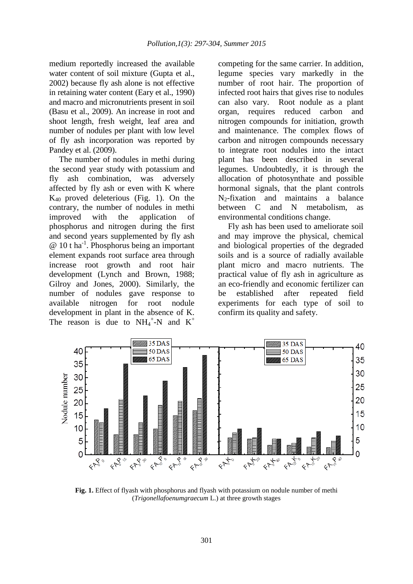medium reportedly increased the available water content of soil mixture (Gupta et al., 2002) because fly ash alone is not effective in retaining water content (Eary et al., 1990) and macro and micronutrients present in soil (Basu et al., 2009). An increase in root and shoot length, fresh weight, leaf area and number of nodules per plant with low level of fly ash incorporation was reported by Pandey et al. (2009).

The number of nodules in methi during the second year study with potassium and fly ash combination, was adversely affected by fly ash or even with K where  $K_{40}$  proved deleterious (Fig. 1). On the contrary, the number of nodules in methi improved with the application of phosphorus and nitrogen during the first and second years supplemented by fly ash @ 10 t ha-1 . Phosphorus being an important element expands root surface area through increase root growth and root hair development (Lynch and Brown, 1988; Gilroy and Jones, 2000). Similarly, the number of nodules gave response to available nitrogen for root nodule development in plant in the absence of K. The reason is due to  $NH_4^+$ -N and  $K^+$ 

competing for the same carrier. In addition, legume species vary markedly in the number of root hair. The proportion of infected root hairs that gives rise to nodules can also vary. Root nodule as a plant organ, requires reduced carbon and nitrogen compounds for initiation, growth and maintenance. The complex flows of carbon and nitrogen compounds necessary to integrate root nodules into the intact plant has been described in several legumes. Undoubtedly, it is through the allocation of photosynthate and possible hormonal signals, that the plant controls  $N_2$ -fixation and maintains a balance between C and N metabolism, as environmental conditions change.

Fly ash has been used to ameliorate soil and may improve the physical, chemical and biological properties of the degraded soils and is a source of radially available plant micro and macro nutrients. The practical value of fly ash in agriculture as an eco-friendly and economic fertilizer can be established after repeated field experiments for each type of soil to confirm its quality and safety.



**Fig. 1.** Effect of flyash with phosphorus and flyash with potassium on nodule number of methi (*Trigonellafoenumgraecum* L.) at three growth stages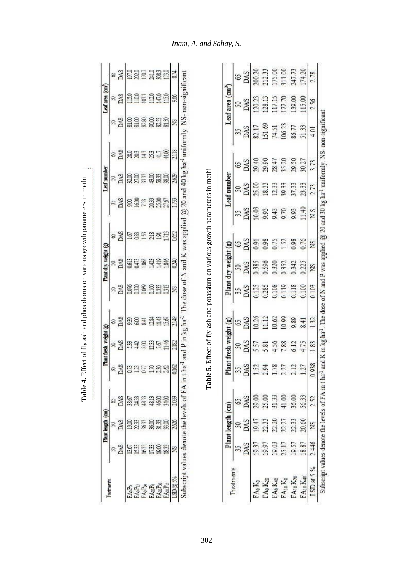| Treatments                       | DAS<br>35 | DAS<br>R          | S              | 55              | DAS<br>R               | ౪                | DAS   | DAS<br>S             | DAS<br>S  | DAS<br>S,               | DAS<br>R              |       | DAS<br>S   |                              |            | Led area (cm <sup>2</sup> )          |
|----------------------------------|-----------|-------------------|----------------|-----------------|------------------------|------------------|-------|----------------------|-----------|-------------------------|-----------------------|-------|------------|------------------------------|------------|--------------------------------------|
|                                  |           |                   |                |                 |                        |                  |       |                      |           |                         |                       |       |            | 35                           | R          | S                                    |
|                                  |           |                   | DAS            |                 |                        | DAS              |       |                      |           |                         |                       |       |            | DAS                          | DAS        | DAS                                  |
| FAoPo                            |           |                   |                | <b>ESSESS</b>   |                        |                  | 0.076 |                      |           |                         |                       |       |            | 81.00                        |            |                                      |
| FAGP15                           | 1367      | 19.00<br>21.33    | 38.67<br>24.33 |                 |                        |                  |       |                      |           |                         |                       |       |            |                              |            |                                      |
| FA <sub>O</sub> P <sub>30</sub>  | 1633      | 3633              | 48.33          |                 | B3325                  | <b>BSE</b>       | 0.069 | 35893                | 985       | ទីទីដង្កូនីដ            | <u>នន្តន</u><br>នន្តន |       | <b>SSE</b> | 81.00                        | <b>See</b> | <b>SARA</b><br>SARA                  |
| FAuPo                            |           |                   |                |                 |                        | $\frac{24}{113}$ |       |                      | 352       |                         |                       |       | 331        |                              | 120        |                                      |
| FA <sub>10</sub> P <sub>30</sub> | 1733      | 3600              | 48.00          |                 |                        |                  | 0.160 |                      |           |                         | 43.00                 |       |            | 835<br>835                   |            |                                      |
| FAuPu                            | 1833      | 33.00             | 34.00          |                 | 11.46                  |                  | 0313  | 1.846                |           |                         | 38.00                 |       | 4400       |                              | 115.0      | 173.0                                |
| LSD@5%                           | S.        | 2.626             | 2.039          | 0.162           | 2182                   | 2149             | XS.   | 0240                 | 0.652     | 1733                    | 2.629                 |       | 2.118      | XS                           | 9.66       | 8.74                                 |
| Treatments                       |           | Plant length (cm) |                |                 | Plant fresh weight (g) |                  |       | Plant dry weight (g) |           |                         | Leaf number           |       |            | Leaf area (cm <sup>2</sup> ) |            |                                      |
|                                  | 35        |                   | 3              |                 |                        | 65               | 55    |                      |           |                         |                       | 8     | 35         |                              |            | 8                                    |
|                                  | DAS       | 50<br>BAS         | DAS            | 35 <sub>2</sub> | SKQ<br>DAS             | DAS              | DAS   | 50<br>DAS            | 65<br>DAS | $\frac{35}{\text{DAS}}$ | 50<br>DAS             | DAS   | DAS        | 50<br>DAS                    |            | DAS                                  |
| $FA_0K_0$                        | 19.37     | 19.47             | 29.00          |                 | 5.57                   | 10.26            | 0.125 | 0.385                | 0.91      | 10.03                   | 25.00                 | 29.40 | 82.17      |                              | 120.23     |                                      |
| $FA_0K_{20}$                     | 19.97     | 22.33             | 25.00          |                 | 5.81                   | 112              | 0.285 | 0.596                | 0.98      | 9.93                    | 18.33                 | 29.90 | 151.69     |                              | 128.13     |                                      |
| FA <sub>0</sub> Ka <sub>0</sub>  | 19.03     | 22.20             | 31.33          |                 | 4.56                   | 0.62             | 0.108 |                      | 0.75      | 9.43                    | 12.33                 | 28.47 | 74.51      |                              | 17.15      |                                      |
| $FA_{10}K_0$                     | 25.17     | 222               | 41.00          | 5355355         | 7.88                   | 10.99            | 0.119 | 0.320<br>0.352       | 1.52      | 9.70                    | 39.33                 | 35.20 | 106.23     |                              | 177.70     | 200.20<br>212.33<br>211.00<br>247.73 |
| FA10 K20                         | 19.57     | 22.33             | 36.00          |                 | 6.12                   | 0.89             | 0.118 | 0.342                | 0.98      | 9.93                    | 37.33                 | 29.50 | 86.77      |                              | 139.00     |                                      |
| $FA_{10}K_{40}$                  | 18.87     | 20.60             | 56.33          |                 | 4.75                   | 8.41             | 0.100 | 0.225                | 0.76      | 11.40                   | 23.33                 | 30.27 | 51.33      |                              | 115.00     | 174.20                               |
| LSD at 5 %                       | 2.446     | XS                | 2.52           | 938<br>$\circ$  | 1.83                   | 132              | 0.103 | XS                   | XS        | XS                      | 2.73                  | 3.73  | 4.01       | 2.56                         |            | 2.78                                 |

**Table 4.** Effect of fly ash and phosphorus on various growth parameters in methi.

Table 4. Effect of fly ash and phosphorus on various growth parameters in methi.

J.

# *Inam, A. and Sahay, S.*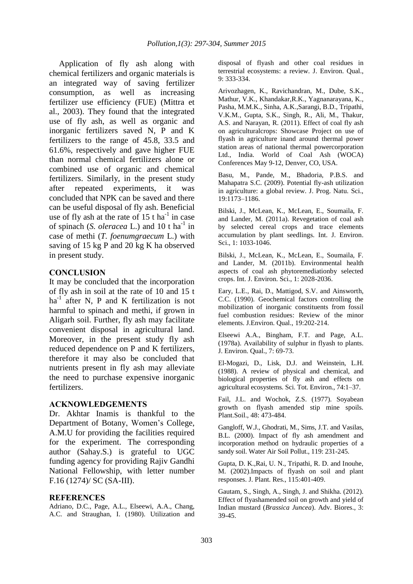Application of fly ash along with chemical fertilizers and organic materials is an integrated way of saving fertilizer consumption, as well as increasing fertilizer use efficiency (FUE) (Mittra et al., 2003). They found that the integrated use of fly ash, as well as organic and inorganic fertilizers saved N, P and K fertilizers to the range of 45.8, 33.5 and 61.6%, respectively and gave higher FUE than normal chemical fertilizers alone or combined use of organic and chemical fertilizers. Similarly, in the present study after repeated experiments, it was concluded that NPK can be saved and there can be useful disposal of fly ash. Beneficial use of fly ash at the rate of  $15$  t ha<sup>-1</sup> in case of spinach (*S. oleracea* L.) and 10 t ha<sup>-1</sup> in case of methi (*T. foenumgraecum* L.) with saving of 15 kg P and 20 kg K ha observed in present study.

### **CONCLUSION**

It may be concluded that the incorporation of fly ash in soil at the rate of 10 and 15 t  $ha^{-1}$  after N, P and K fertilization is not harmful to spinach and methi, if grown in Aligarh soil. Further, fly ash may facilitate convenient disposal in agricultural land. Moreover, in the present study fly ash reduced dependence on P and K fertilizers, therefore it may also be concluded that nutrients present in fly ash may alleviate the need to purchase expensive inorganic fertilizers.

#### **ACKNOWLEDGEMENTS**

Dr. Akhtar Inamis is thankful to the Department of Botany, Women's College, A.M.U for providing the facilities required for the experiment. The corresponding author (Sahay.S.) is grateful to UGC funding agency for providing Rajiv Gandhi National Fellowship, with letter number F.16 (1274)/ SC (SA-III).

#### **REFERENCES**

Adriano, D.C., Page, A.L., Elseewi, A.A., Chang, A.C. and Straughan, I. (1980). Utilization and disposal of flyash and other coal residues in terrestrial ecosystems: a review. J. Environ. Qual., 9: 333-334.

Arivozhagen, K., Ravichandran, M., Dube, S.K., Mathur, V.K., Khandakar,R.K., Yagnanarayana, K., Pasha, M.M.K., Sinha, A.K.,Sarangi, B.D., Tripathi, V.K.M., Gupta, S.K., Singh, R., Ali, M., Thakur, A.S. and Narayan, R. (2011). Effect of coal fly ash on agriculturalcrops: Showcase Project on use of flyash in agriculture inand around thermal power station areas of national thermal powercorporation Ltd., India. World of Coal Ash (WOCA) Conferences May 9-12, Denver, CO, USA.

Basu, M., Pande, M., Bhadoria, P.B.S. and Mahapatra S.C. (2009). Potential fly-ash utilization in agriculture: a global review. J. Prog. Natu. Sci., 19:1173–1186.

Bilski, J., McLean, K., McLean, E., Soumaila, F. and Lander, M. (2011a). Revegetation of coal ash by selected cereal crops and trace elements accumulation by plant seedlings. Int. J. Environ. Sci., 1: 1033-1046.

Bilski, J., McLean, K., McLean, E., Soumaila, F. and Lander, M. (2011b). Environmental health aspects of coal ash phytoremediationby selected crops. Int. J. Environ. Sci., 1: 2028-2036.

Eary, L.E., Rai, D., Mattigod, S.V. and Ainsworth, C.C. (1990). Geochemical factors controlling the mobilization of inorganic constituents from fossil fuel combustion residues: Review of the minor elements. J.Environ. Qual., 19:202-214.

Elseewi A.A., Bingham, F.T. and Page, A.L. (1978a). Availability of sulphur in flyash to plants. J. Environ. Qual., 7: 69-73.

El-Mogazi, D., Lisk, D.J. and Weinstein, L.H. (1988). A review of physical and chemical, and biological properties of fly ash and effects on agricultural ecosystems. Sci. Tot. Environ., 74:1–37.

Fail, J.L. and Wochok, Z.S. (1977). Soyabean growth on flyash amended stip mine spoils. Plant.Soil., 48: 473-484.

Gangloff, W.J., Ghodrati, M., Sims, J.T. and Vasilas, B.L. (2000). Impact of fly ash amendment and incorporation method on hydraulic properties of a sandy soil. Water Air Soil Pollut., 119: 231-245.

Gupta, D. K.,Rai, U. N., Tripathi, R. D. and Inouhe, M. (2002).Impacts of flyash on soil and plant responses. J. Plant. Res., 115:401-409.

Gautam, S., Singh, A., Singh, J. and Shikha. (2012). Effect of flyashamended soil on growth and yield of Indian mustard (*Brassica Juncea*). Adv. Biores., 3: 39-45.